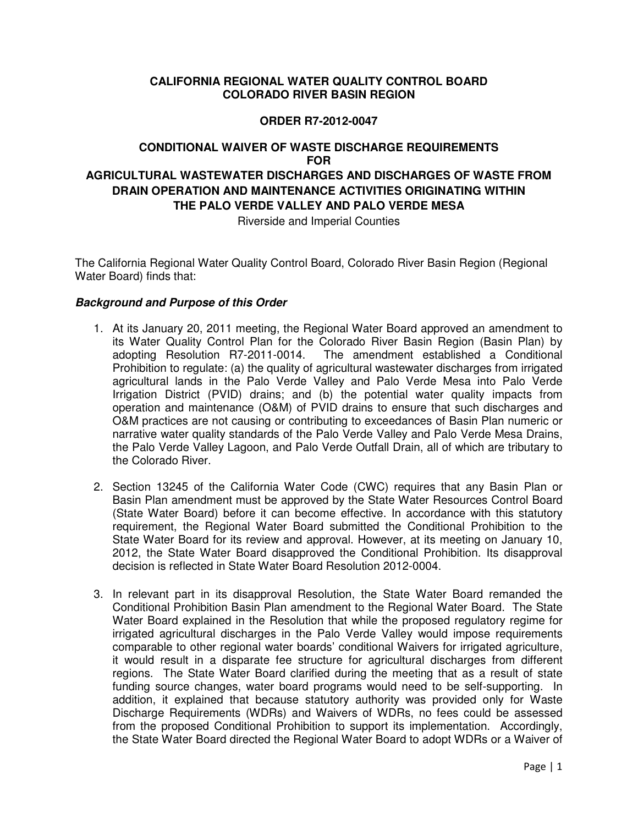## **CALIFORNIA REGIONAL WATER QUALITY CONTROL BOARD COLORADO RIVER BASIN REGION**

#### **ORDER R7-2012-0047**

# **CONDITIONAL WAIVER OF WASTE DISCHARGE REQUIREMENTS FOR AGRICULTURAL WASTEWATER DISCHARGES AND DISCHARGES OF WASTE FROM DRAIN OPERATION AND MAINTENANCE ACTIVITIES ORIGINATING WITHIN THE PALO VERDE VALLEY AND PALO VERDE MESA**

Riverside and Imperial Counties

The California Regional Water Quality Control Board, Colorado River Basin Region (Regional Water Board) finds that:

#### **Background and Purpose of this Order**

- 1. At its January 20, 2011 meeting, the Regional Water Board approved an amendment to its Water Quality Control Plan for the Colorado River Basin Region (Basin Plan) by The amendment established a Conditional Prohibition to regulate: (a) the quality of agricultural wastewater discharges from irrigated agricultural lands in the Palo Verde Valley and Palo Verde Mesa into Palo Verde Irrigation District (PVID) drains; and (b) the potential water quality impacts from operation and maintenance (O&M) of PVID drains to ensure that such discharges and O&M practices are not causing or contributing to exceedances of Basin Plan numeric or narrative water quality standards of the Palo Verde Valley and Palo Verde Mesa Drains, the Palo Verde Valley Lagoon, and Palo Verde Outfall Drain, all of which are tributary to the Colorado River.
- 2. Section 13245 of the California Water Code (CWC) requires that any Basin Plan or Basin Plan amendment must be approved by the State Water Resources Control Board (State Water Board) before it can become effective. In accordance with this statutory requirement, the Regional Water Board submitted the Conditional Prohibition to the State Water Board for its review and approval. However, at its meeting on January 10, 2012, the State Water Board disapproved the Conditional Prohibition. Its disapproval decision is reflected in State Water Board Resolution 2012-0004.
- 3. In relevant part in its disapproval Resolution, the State Water Board remanded the Conditional Prohibition Basin Plan amendment to the Regional Water Board. The State Water Board explained in the Resolution that while the proposed regulatory regime for irrigated agricultural discharges in the Palo Verde Valley would impose requirements comparable to other regional water boards' conditional Waivers for irrigated agriculture, it would result in a disparate fee structure for agricultural discharges from different regions. The State Water Board clarified during the meeting that as a result of state funding source changes, water board programs would need to be self-supporting. In addition, it explained that because statutory authority was provided only for Waste Discharge Requirements (WDRs) and Waivers of WDRs, no fees could be assessed from the proposed Conditional Prohibition to support its implementation. Accordingly, the State Water Board directed the Regional Water Board to adopt WDRs or a Waiver of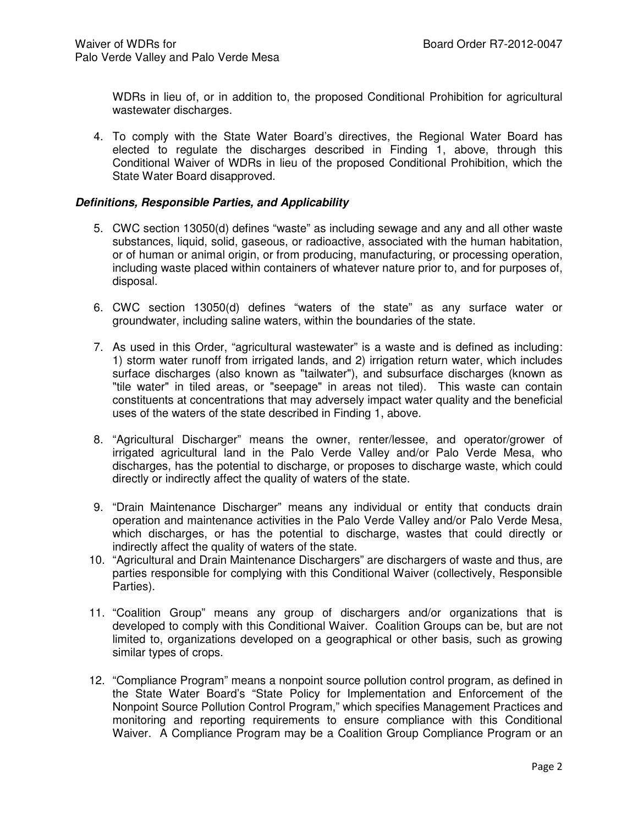WDRs in lieu of, or in addition to, the proposed Conditional Prohibition for agricultural wastewater discharges.

4. To comply with the State Water Board's directives, the Regional Water Board has elected to regulate the discharges described in Finding 1, above, through this Conditional Waiver of WDRs in lieu of the proposed Conditional Prohibition, which the State Water Board disapproved.

#### **Definitions, Responsible Parties, and Applicability**

- 5. CWC section 13050(d) defines "waste" as including sewage and any and all other waste substances, liquid, solid, gaseous, or radioactive, associated with the human habitation, or of human or animal origin, or from producing, manufacturing, or processing operation, including waste placed within containers of whatever nature prior to, and for purposes of, disposal.
- 6. CWC section 13050(d) defines "waters of the state" as any surface water or groundwater, including saline waters, within the boundaries of the state.
- 7. As used in this Order, "agricultural wastewater" is a waste and is defined as including: 1) storm water runoff from irrigated lands, and 2) irrigation return water, which includes surface discharges (also known as "tailwater"), and subsurface discharges (known as "tile water" in tiled areas, or "seepage" in areas not tiled). This waste can contain constituents at concentrations that may adversely impact water quality and the beneficial uses of the waters of the state described in Finding 1, above.
- 8. "Agricultural Discharger" means the owner, renter/lessee, and operator/grower of irrigated agricultural land in the Palo Verde Valley and/or Palo Verde Mesa, who discharges, has the potential to discharge, or proposes to discharge waste, which could directly or indirectly affect the quality of waters of the state.
- 9. "Drain Maintenance Discharger" means any individual or entity that conducts drain operation and maintenance activities in the Palo Verde Valley and/or Palo Verde Mesa, which discharges, or has the potential to discharge, wastes that could directly or indirectly affect the quality of waters of the state.
- 10. "Agricultural and Drain Maintenance Dischargers" are dischargers of waste and thus, are parties responsible for complying with this Conditional Waiver (collectively, Responsible Parties).
- 11. "Coalition Group" means any group of dischargers and/or organizations that is developed to comply with this Conditional Waiver. Coalition Groups can be, but are not limited to, organizations developed on a geographical or other basis, such as growing similar types of crops.
- 12. "Compliance Program" means a nonpoint source pollution control program, as defined in the State Water Board's "State Policy for Implementation and Enforcement of the Nonpoint Source Pollution Control Program," which specifies Management Practices and monitoring and reporting requirements to ensure compliance with this Conditional Waiver. A Compliance Program may be a Coalition Group Compliance Program or an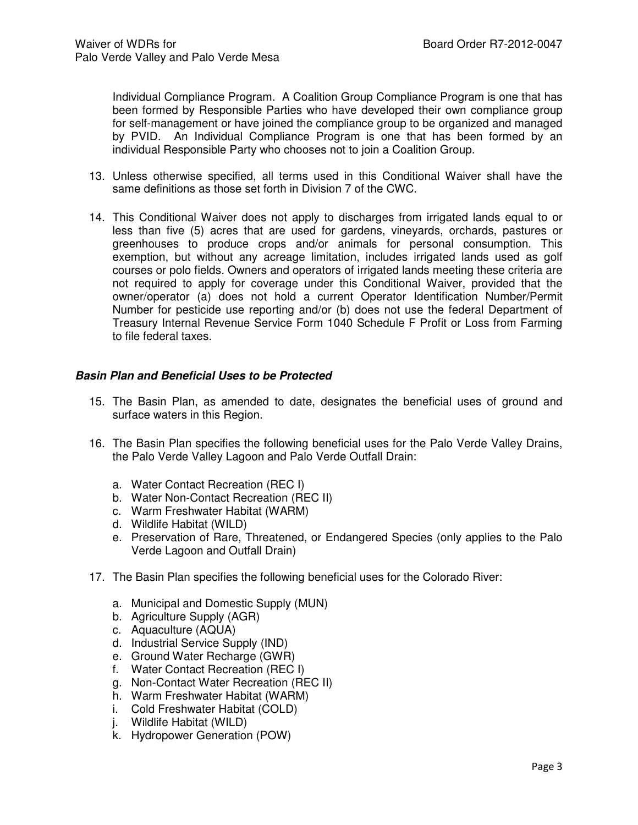Individual Compliance Program. A Coalition Group Compliance Program is one that has been formed by Responsible Parties who have developed their own compliance group for self-management or have joined the compliance group to be organized and managed by PVID. An Individual Compliance Program is one that has been formed by an individual Responsible Party who chooses not to join a Coalition Group.

- 13. Unless otherwise specified, all terms used in this Conditional Waiver shall have the same definitions as those set forth in Division 7 of the CWC.
- 14. This Conditional Waiver does not apply to discharges from irrigated lands equal to or less than five (5) acres that are used for gardens, vineyards, orchards, pastures or greenhouses to produce crops and/or animals for personal consumption. This exemption, but without any acreage limitation, includes irrigated lands used as golf courses or polo fields. Owners and operators of irrigated lands meeting these criteria are not required to apply for coverage under this Conditional Waiver, provided that the owner/operator (a) does not hold a current Operator Identification Number/Permit Number for pesticide use reporting and/or (b) does not use the federal Department of Treasury Internal Revenue Service Form 1040 Schedule F Profit or Loss from Farming to file federal taxes.

#### **Basin Plan and Beneficial Uses to be Protected**

- 15. The Basin Plan, as amended to date, designates the beneficial uses of ground and surface waters in this Region.
- 16. The Basin Plan specifies the following beneficial uses for the Palo Verde Valley Drains, the Palo Verde Valley Lagoon and Palo Verde Outfall Drain:
	- a. Water Contact Recreation (REC I)
	- b. Water Non-Contact Recreation (REC II)
	- c. Warm Freshwater Habitat (WARM)
	- d. Wildlife Habitat (WILD)
	- e. Preservation of Rare, Threatened, or Endangered Species (only applies to the Palo Verde Lagoon and Outfall Drain)
- 17. The Basin Plan specifies the following beneficial uses for the Colorado River:
	- a. Municipal and Domestic Supply (MUN)
	- b. Agriculture Supply (AGR)
	- c. Aquaculture (AQUA)
	- d. Industrial Service Supply (IND)
	- e. Ground Water Recharge (GWR)
	- f. Water Contact Recreation (REC I)
	- g. Non-Contact Water Recreation (REC II)
	- h. Warm Freshwater Habitat (WARM)
	- i. Cold Freshwater Habitat (COLD)
	- j. Wildlife Habitat (WILD)
	- k. Hydropower Generation (POW)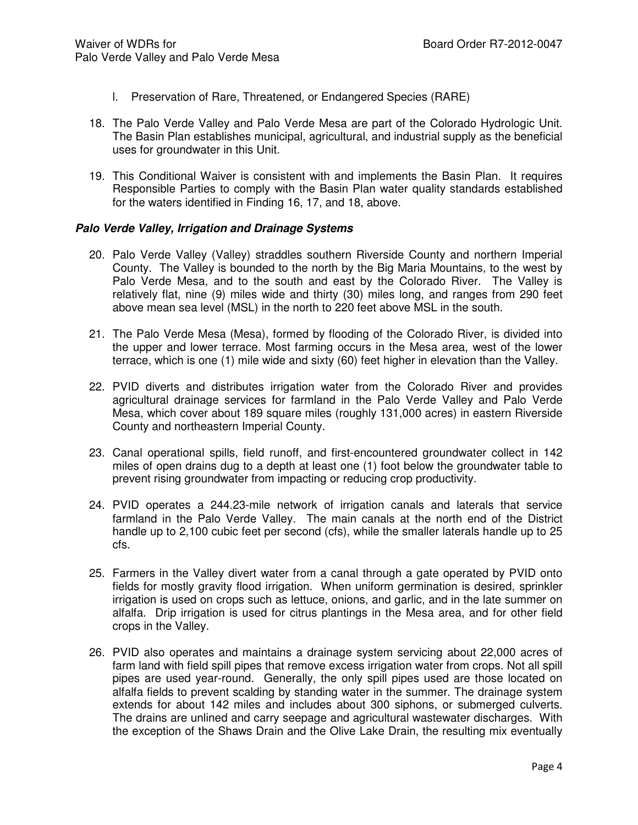- l. Preservation of Rare, Threatened, or Endangered Species (RARE)
- 18. The Palo Verde Valley and Palo Verde Mesa are part of the Colorado Hydrologic Unit. The Basin Plan establishes municipal, agricultural, and industrial supply as the beneficial uses for groundwater in this Unit.
- 19. This Conditional Waiver is consistent with and implements the Basin Plan. It requires Responsible Parties to comply with the Basin Plan water quality standards established for the waters identified in Finding 16, 17, and 18, above.

# **Palo Verde Valley, Irrigation and Drainage Systems**

- 20. Palo Verde Valley (Valley) straddles southern Riverside County and northern Imperial County. The Valley is bounded to the north by the Big Maria Mountains, to the west by Palo Verde Mesa, and to the south and east by the Colorado River. The Valley is relatively flat, nine (9) miles wide and thirty (30) miles long, and ranges from 290 feet above mean sea level (MSL) in the north to 220 feet above MSL in the south.
- 21. The Palo Verde Mesa (Mesa), formed by flooding of the Colorado River, is divided into the upper and lower terrace. Most farming occurs in the Mesa area, west of the lower terrace, which is one (1) mile wide and sixty (60) feet higher in elevation than the Valley.
- 22. PVID diverts and distributes irrigation water from the Colorado River and provides agricultural drainage services for farmland in the Palo Verde Valley and Palo Verde Mesa, which cover about 189 square miles (roughly 131,000 acres) in eastern Riverside County and northeastern Imperial County.
- 23. Canal operational spills, field runoff, and first-encountered groundwater collect in 142 miles of open drains dug to a depth at least one (1) foot below the groundwater table to prevent rising groundwater from impacting or reducing crop productivity.
- 24. PVID operates a 244.23-mile network of irrigation canals and laterals that service farmland in the Palo Verde Valley. The main canals at the north end of the District handle up to 2,100 cubic feet per second (cfs), while the smaller laterals handle up to 25 cfs.
- 25. Farmers in the Valley divert water from a canal through a gate operated by PVID onto fields for mostly gravity flood irrigation. When uniform germination is desired, sprinkler irrigation is used on crops such as lettuce, onions, and garlic, and in the late summer on alfalfa. Drip irrigation is used for citrus plantings in the Mesa area, and for other field crops in the Valley.
- 26. PVID also operates and maintains a drainage system servicing about 22,000 acres of farm land with field spill pipes that remove excess irrigation water from crops. Not all spill pipes are used year-round. Generally, the only spill pipes used are those located on alfalfa fields to prevent scalding by standing water in the summer. The drainage system extends for about 142 miles and includes about 300 siphons, or submerged culverts. The drains are unlined and carry seepage and agricultural wastewater discharges. With the exception of the Shaws Drain and the Olive Lake Drain, the resulting mix eventually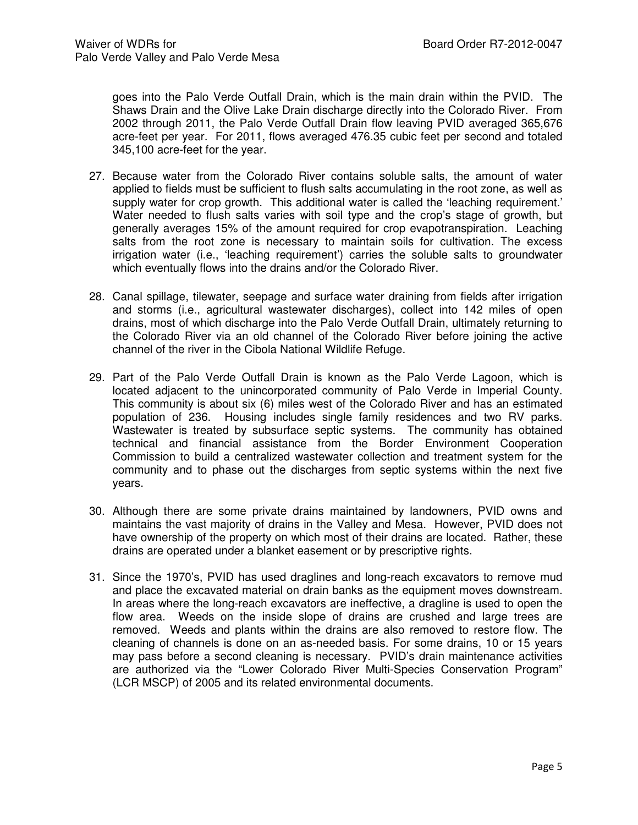goes into the Palo Verde Outfall Drain, which is the main drain within the PVID. The Shaws Drain and the Olive Lake Drain discharge directly into the Colorado River. From 2002 through 2011, the Palo Verde Outfall Drain flow leaving PVID averaged 365,676 acre-feet per year. For 2011, flows averaged 476.35 cubic feet per second and totaled 345,100 acre-feet for the year.

- 27. Because water from the Colorado River contains soluble salts, the amount of water applied to fields must be sufficient to flush salts accumulating in the root zone, as well as supply water for crop growth. This additional water is called the 'leaching requirement.' Water needed to flush salts varies with soil type and the crop's stage of growth, but generally averages 15% of the amount required for crop evapotranspiration. Leaching salts from the root zone is necessary to maintain soils for cultivation. The excess irrigation water (i.e., 'leaching requirement') carries the soluble salts to groundwater which eventually flows into the drains and/or the Colorado River.
- 28. Canal spillage, tilewater, seepage and surface water draining from fields after irrigation and storms (i.e., agricultural wastewater discharges), collect into 142 miles of open drains, most of which discharge into the Palo Verde Outfall Drain, ultimately returning to the Colorado River via an old channel of the Colorado River before joining the active channel of the river in the Cibola National Wildlife Refuge.
- 29. Part of the Palo Verde Outfall Drain is known as the Palo Verde Lagoon, which is located adjacent to the unincorporated community of Palo Verde in Imperial County. This community is about six (6) miles west of the Colorado River and has an estimated population of 236. Housing includes single family residences and two RV parks. Wastewater is treated by subsurface septic systems. The community has obtained technical and financial assistance from the Border Environment Cooperation Commission to build a centralized wastewater collection and treatment system for the community and to phase out the discharges from septic systems within the next five years.
- 30. Although there are some private drains maintained by landowners, PVID owns and maintains the vast majority of drains in the Valley and Mesa. However, PVID does not have ownership of the property on which most of their drains are located. Rather, these drains are operated under a blanket easement or by prescriptive rights.
- 31. Since the 1970's, PVID has used draglines and long-reach excavators to remove mud and place the excavated material on drain banks as the equipment moves downstream. In areas where the long-reach excavators are ineffective, a dragline is used to open the flow area. Weeds on the inside slope of drains are crushed and large trees are removed. Weeds and plants within the drains are also removed to restore flow. The cleaning of channels is done on an as-needed basis. For some drains, 10 or 15 years may pass before a second cleaning is necessary. PVID's drain maintenance activities are authorized via the "Lower Colorado River Multi-Species Conservation Program" (LCR MSCP) of 2005 and its related environmental documents.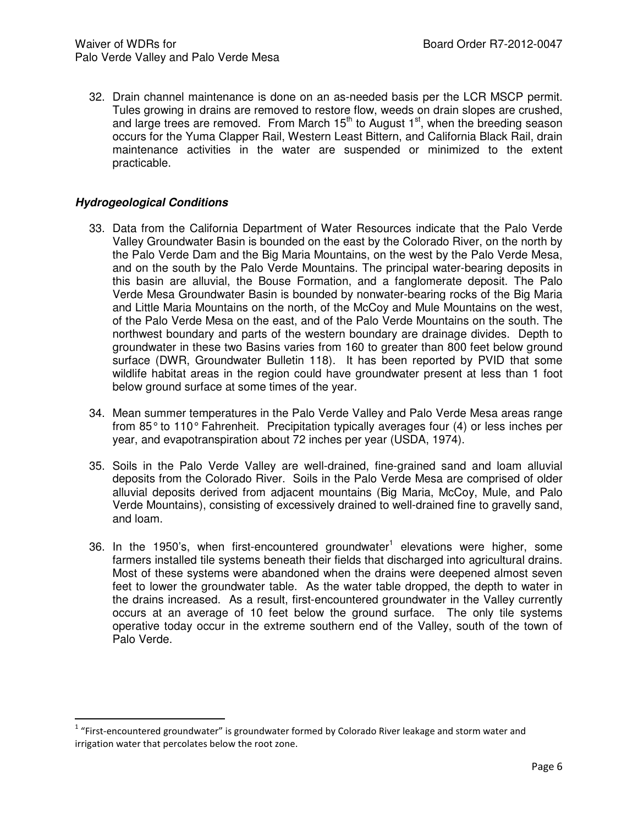32. Drain channel maintenance is done on an as-needed basis per the LCR MSCP permit. Tules growing in drains are removed to restore flow, weeds on drain slopes are crushed, and large trees are removed. From March  $15<sup>th</sup>$  to August  $1<sup>st</sup>$ , when the breeding season occurs for the Yuma Clapper Rail, Western Least Bittern, and California Black Rail, drain maintenance activities in the water are suspended or minimized to the extent practicable.

#### **Hydrogeological Conditions**

l

- 33. Data from the California Department of Water Resources indicate that the Palo Verde Valley Groundwater Basin is bounded on the east by the Colorado River, on the north by the Palo Verde Dam and the Big Maria Mountains, on the west by the Palo Verde Mesa, and on the south by the Palo Verde Mountains. The principal water-bearing deposits in this basin are alluvial, the Bouse Formation, and a fanglomerate deposit. The Palo Verde Mesa Groundwater Basin is bounded by nonwater-bearing rocks of the Big Maria and Little Maria Mountains on the north, of the McCoy and Mule Mountains on the west, of the Palo Verde Mesa on the east, and of the Palo Verde Mountains on the south. The northwest boundary and parts of the western boundary are drainage divides. Depth to groundwater in these two Basins varies from 160 to greater than 800 feet below ground surface (DWR, Groundwater Bulletin 118). It has been reported by PVID that some wildlife habitat areas in the region could have groundwater present at less than 1 foot below ground surface at some times of the year.
- 34. Mean summer temperatures in the Palo Verde Valley and Palo Verde Mesa areas range from 85° to 110° Fahrenheit. Precipitation typically averages four (4) or less inches per year, and evapotranspiration about 72 inches per year (USDA, 1974).
- 35. Soils in the Palo Verde Valley are well-drained, fine-grained sand and loam alluvial deposits from the Colorado River. Soils in the Palo Verde Mesa are comprised of older alluvial deposits derived from adjacent mountains (Big Maria, McCoy, Mule, and Palo Verde Mountains), consisting of excessively drained to well-drained fine to gravelly sand, and loam.
- 36. In the 1950's, when first-encountered groundwater<sup>1</sup> elevations were higher, some farmers installed tile systems beneath their fields that discharged into agricultural drains. Most of these systems were abandoned when the drains were deepened almost seven feet to lower the groundwater table. As the water table dropped, the depth to water in the drains increased. As a result, first-encountered groundwater in the Valley currently occurs at an average of 10 feet below the ground surface. The only tile systems operative today occur in the extreme southern end of the Valley, south of the town of Palo Verde.

 $1$  "First-encountered groundwater" is groundwater formed by Colorado River leakage and storm water and irrigation water that percolates below the root zone.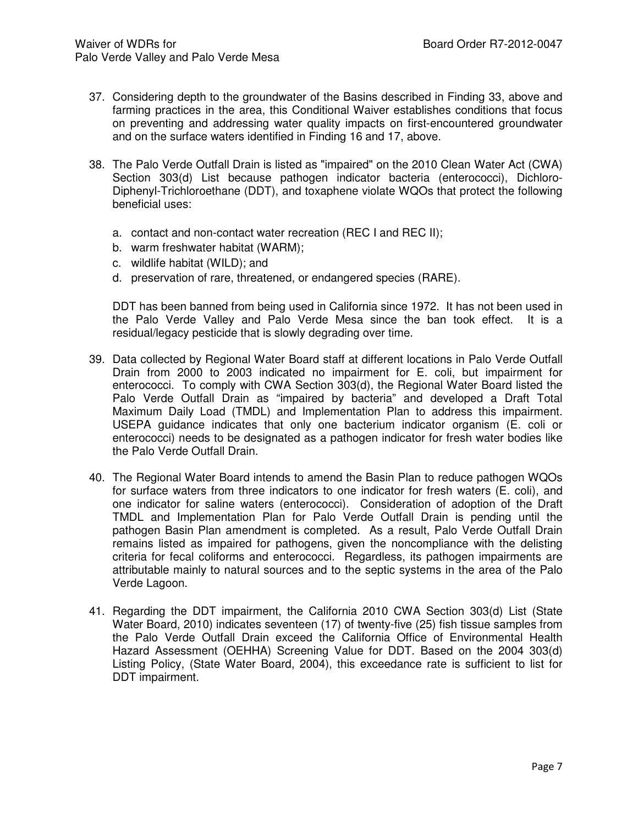- 37. Considering depth to the groundwater of the Basins described in Finding 33, above and farming practices in the area, this Conditional Waiver establishes conditions that focus on preventing and addressing water quality impacts on first-encountered groundwater and on the surface waters identified in Finding 16 and 17, above.
- 38. The Palo Verde Outfall Drain is listed as "impaired" on the 2010 Clean Water Act (CWA) Section 303(d) List because pathogen indicator bacteria (enterococci), Dichloro-Diphenyl-Trichloroethane (DDT), and toxaphene violate WQOs that protect the following beneficial uses:
	- a. contact and non-contact water recreation (REC I and REC II);
	- b. warm freshwater habitat (WARM);
	- c. wildlife habitat (WILD); and
	- d. preservation of rare, threatened, or endangered species (RARE).

DDT has been banned from being used in California since 1972. It has not been used in the Palo Verde Valley and Palo Verde Mesa since the ban took effect. It is a residual/legacy pesticide that is slowly degrading over time.

- 39. Data collected by Regional Water Board staff at different locations in Palo Verde Outfall Drain from 2000 to 2003 indicated no impairment for E. coli, but impairment for enterococci. To comply with CWA Section 303(d), the Regional Water Board listed the Palo Verde Outfall Drain as "impaired by bacteria" and developed a Draft Total Maximum Daily Load (TMDL) and Implementation Plan to address this impairment. USEPA guidance indicates that only one bacterium indicator organism (E. coli or enterococci) needs to be designated as a pathogen indicator for fresh water bodies like the Palo Verde Outfall Drain.
- 40. The Regional Water Board intends to amend the Basin Plan to reduce pathogen WQOs for surface waters from three indicators to one indicator for fresh waters (E. coli), and one indicator for saline waters (enterococci). Consideration of adoption of the Draft TMDL and Implementation Plan for Palo Verde Outfall Drain is pending until the pathogen Basin Plan amendment is completed. As a result, Palo Verde Outfall Drain remains listed as impaired for pathogens, given the noncompliance with the delisting criteria for fecal coliforms and enterococci. Regardless, its pathogen impairments are attributable mainly to natural sources and to the septic systems in the area of the Palo Verde Lagoon.
- 41. Regarding the DDT impairment, the California 2010 CWA Section 303(d) List (State Water Board, 2010) indicates seventeen (17) of twenty-five (25) fish tissue samples from the Palo Verde Outfall Drain exceed the California Office of Environmental Health Hazard Assessment (OEHHA) Screening Value for DDT. Based on the 2004 303(d) Listing Policy, (State Water Board, 2004), this exceedance rate is sufficient to list for DDT impairment.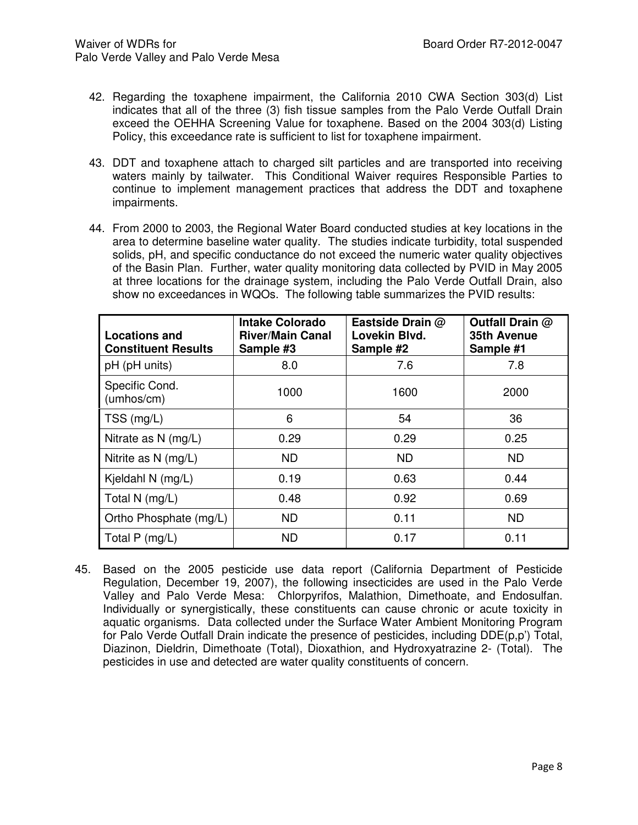- 42. Regarding the toxaphene impairment, the California 2010 CWA Section 303(d) List indicates that all of the three (3) fish tissue samples from the Palo Verde Outfall Drain exceed the OEHHA Screening Value for toxaphene. Based on the 2004 303(d) Listing Policy, this exceedance rate is sufficient to list for toxaphene impairment.
- 43. DDT and toxaphene attach to charged silt particles and are transported into receiving waters mainly by tailwater. This Conditional Waiver requires Responsible Parties to continue to implement management practices that address the DDT and toxaphene impairments.
- 44. From 2000 to 2003, the Regional Water Board conducted studies at key locations in the area to determine baseline water quality. The studies indicate turbidity, total suspended solids, pH, and specific conductance do not exceed the numeric water quality objectives of the Basin Plan. Further, water quality monitoring data collected by PVID in May 2005 at three locations for the drainage system, including the Palo Verde Outfall Drain, also show no exceedances in WQOs. The following table summarizes the PVID results:

| <b>Locations and</b><br><b>Constituent Results</b> | <b>Intake Colorado</b><br><b>River/Main Canal</b><br>Sample #3 | Eastside Drain @<br>Lovekin Blvd.<br>Sample #2 | Outfall Drain @<br>35th Avenue<br>Sample #1 |
|----------------------------------------------------|----------------------------------------------------------------|------------------------------------------------|---------------------------------------------|
| pH (pH units)                                      | 8.0                                                            | 7.6                                            | 7.8                                         |
| Specific Cond.<br>(umhos/cm)                       | 1000                                                           | 1600                                           | 2000                                        |
| TSS (mg/L)                                         | 6                                                              | 54                                             | 36                                          |
| Nitrate as N (mg/L)                                | 0.29                                                           | 0.29                                           | 0.25                                        |
| Nitrite as N (mg/L)                                | <b>ND</b>                                                      | <b>ND</b>                                      | <b>ND</b>                                   |
| Kjeldahl N (mg/L)                                  | 0.19                                                           | 0.63                                           | 0.44                                        |
| Total N (mg/L)                                     | 0.48                                                           | 0.92                                           | 0.69                                        |
| Ortho Phosphate (mg/L)                             | <b>ND</b>                                                      | 0.11                                           | <b>ND</b>                                   |
| Total $P$ (mg/L)                                   | <b>ND</b>                                                      | 0.17                                           | 0.11                                        |

45. Based on the 2005 pesticide use data report (California Department of Pesticide Regulation, December 19, 2007), the following insecticides are used in the Palo Verde Valley and Palo Verde Mesa: Chlorpyrifos, Malathion, Dimethoate, and Endosulfan. Individually or synergistically, these constituents can cause chronic or acute toxicity in aquatic organisms. Data collected under the Surface Water Ambient Monitoring Program for Palo Verde Outfall Drain indicate the presence of pesticides, including DDE(p,p') Total, Diazinon, Dieldrin, Dimethoate (Total), Dioxathion, and Hydroxyatrazine 2- (Total). The pesticides in use and detected are water quality constituents of concern.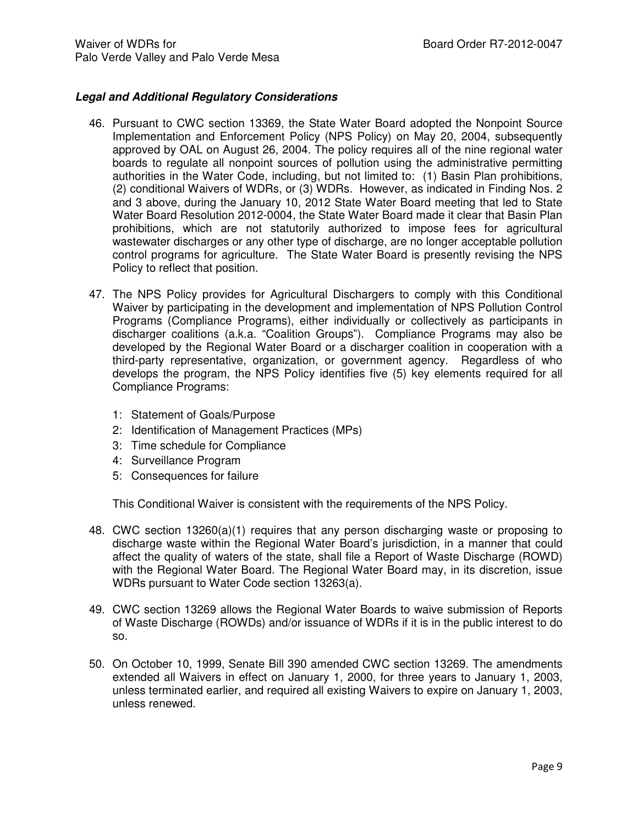## **Legal and Additional Regulatory Considerations**

- 46. Pursuant to CWC section 13369, the State Water Board adopted the Nonpoint Source Implementation and Enforcement Policy (NPS Policy) on May 20, 2004, subsequently approved by OAL on August 26, 2004. The policy requires all of the nine regional water boards to regulate all nonpoint sources of pollution using the administrative permitting authorities in the Water Code, including, but not limited to: (1) Basin Plan prohibitions, (2) conditional Waivers of WDRs, or (3) WDRs. However, as indicated in Finding Nos. 2 and 3 above, during the January 10, 2012 State Water Board meeting that led to State Water Board Resolution 2012-0004, the State Water Board made it clear that Basin Plan prohibitions, which are not statutorily authorized to impose fees for agricultural wastewater discharges or any other type of discharge, are no longer acceptable pollution control programs for agriculture. The State Water Board is presently revising the NPS Policy to reflect that position.
- 47. The NPS Policy provides for Agricultural Dischargers to comply with this Conditional Waiver by participating in the development and implementation of NPS Pollution Control Programs (Compliance Programs), either individually or collectively as participants in discharger coalitions (a.k.a. "Coalition Groups"). Compliance Programs may also be developed by the Regional Water Board or a discharger coalition in cooperation with a third-party representative, organization, or government agency. Regardless of who develops the program, the NPS Policy identifies five (5) key elements required for all Compliance Programs:
	- 1: Statement of Goals/Purpose
	- 2: Identification of Management Practices (MPs)
	- 3: Time schedule for Compliance
	- 4: Surveillance Program
	- 5: Consequences for failure

This Conditional Waiver is consistent with the requirements of the NPS Policy.

- 48. CWC section 13260(a)(1) requires that any person discharging waste or proposing to discharge waste within the Regional Water Board's jurisdiction, in a manner that could affect the quality of waters of the state, shall file a Report of Waste Discharge (ROWD) with the Regional Water Board. The Regional Water Board may, in its discretion, issue WDRs pursuant to Water Code section 13263(a).
- 49. CWC section 13269 allows the Regional Water Boards to waive submission of Reports of Waste Discharge (ROWDs) and/or issuance of WDRs if it is in the public interest to do so.
- 50. On October 10, 1999, Senate Bill 390 amended CWC section 13269. The amendments extended all Waivers in effect on January 1, 2000, for three years to January 1, 2003, unless terminated earlier, and required all existing Waivers to expire on January 1, 2003, unless renewed.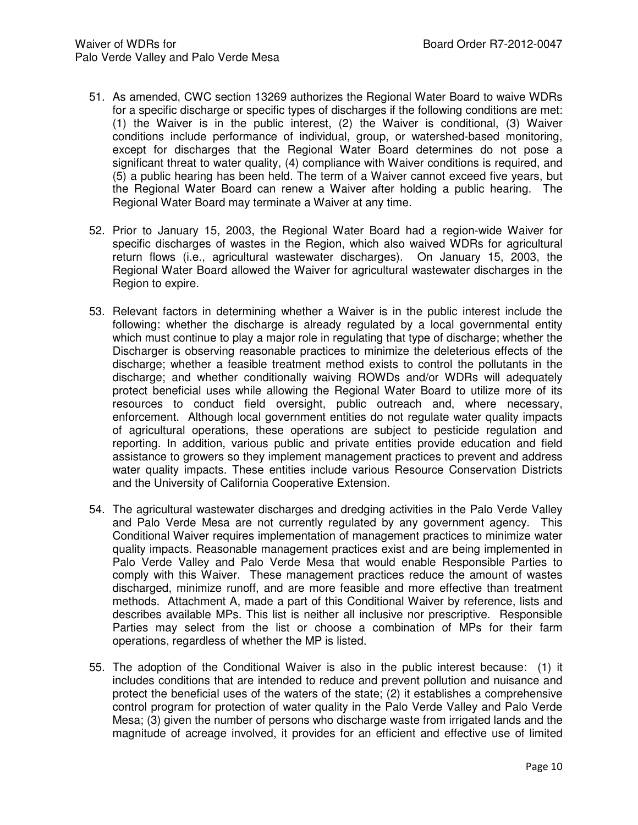- 51. As amended, CWC section 13269 authorizes the Regional Water Board to waive WDRs for a specific discharge or specific types of discharges if the following conditions are met: (1) the Waiver is in the public interest, (2) the Waiver is conditional, (3) Waiver conditions include performance of individual, group, or watershed-based monitoring, except for discharges that the Regional Water Board determines do not pose a significant threat to water quality, (4) compliance with Waiver conditions is required, and (5) a public hearing has been held. The term of a Waiver cannot exceed five years, but the Regional Water Board can renew a Waiver after holding a public hearing. The Regional Water Board may terminate a Waiver at any time.
- 52. Prior to January 15, 2003, the Regional Water Board had a region-wide Waiver for specific discharges of wastes in the Region, which also waived WDRs for agricultural return flows (i.e., agricultural wastewater discharges). On January 15, 2003, the Regional Water Board allowed the Waiver for agricultural wastewater discharges in the Region to expire.
- 53. Relevant factors in determining whether a Waiver is in the public interest include the following: whether the discharge is already regulated by a local governmental entity which must continue to play a major role in regulating that type of discharge; whether the Discharger is observing reasonable practices to minimize the deleterious effects of the discharge; whether a feasible treatment method exists to control the pollutants in the discharge; and whether conditionally waiving ROWDs and/or WDRs will adequately protect beneficial uses while allowing the Regional Water Board to utilize more of its resources to conduct field oversight, public outreach and, where necessary, enforcement. Although local government entities do not regulate water quality impacts of agricultural operations, these operations are subject to pesticide regulation and reporting. In addition, various public and private entities provide education and field assistance to growers so they implement management practices to prevent and address water quality impacts. These entities include various Resource Conservation Districts and the University of California Cooperative Extension.
- 54. The agricultural wastewater discharges and dredging activities in the Palo Verde Valley and Palo Verde Mesa are not currently regulated by any government agency. This Conditional Waiver requires implementation of management practices to minimize water quality impacts. Reasonable management practices exist and are being implemented in Palo Verde Valley and Palo Verde Mesa that would enable Responsible Parties to comply with this Waiver. These management practices reduce the amount of wastes discharged, minimize runoff, and are more feasible and more effective than treatment methods. Attachment A, made a part of this Conditional Waiver by reference, lists and describes available MPs. This list is neither all inclusive nor prescriptive. Responsible Parties may select from the list or choose a combination of MPs for their farm operations, regardless of whether the MP is listed.
- 55. The adoption of the Conditional Waiver is also in the public interest because: (1) it includes conditions that are intended to reduce and prevent pollution and nuisance and protect the beneficial uses of the waters of the state; (2) it establishes a comprehensive control program for protection of water quality in the Palo Verde Valley and Palo Verde Mesa; (3) given the number of persons who discharge waste from irrigated lands and the magnitude of acreage involved, it provides for an efficient and effective use of limited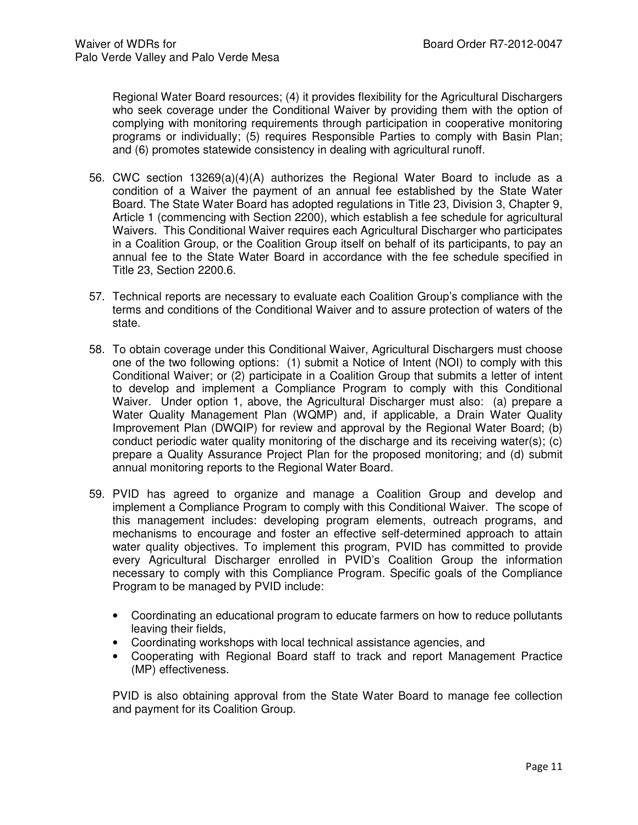Regional Water Board resources; (4) it provides flexibility for the Agricultural Dischargers who seek coverage under the Conditional Waiver by providing them with the option of complying with monitoring requirements through participation in cooperative monitoring programs or individually; (5) requires Responsible Parties to comply with Basin Plan; and (6) promotes statewide consistency in dealing with agricultural runoff.

- 56. CWC section 13269(a)(4)(A) authorizes the Regional Water Board to include as a condition of a Waiver the payment of an annual fee established by the State Water Board. The State Water Board has adopted regulations in Title 23, Division 3, Chapter 9, Article 1 (commencing with Section 2200), which establish a fee schedule for agricultural Waivers. This Conditional Waiver requires each Agricultural Discharger who participates in a Coalition Group, or the Coalition Group itself on behalf of its participants, to pay an annual fee to the State Water Board in accordance with the fee schedule specified in Title 23, Section 2200.6.
- 57. Technical reports are necessary to evaluate each Coalition Group's compliance with the terms and conditions of the Conditional Waiver and to assure protection of waters of the state.
- 58. To obtain coverage under this Conditional Waiver, Agricultural Dischargers must choose one of the two following options: (1) submit a Notice of Intent (NOI) to comply with this Conditional Waiver; or (2) participate in a Coalition Group that submits a letter of intent to develop and implement a Compliance Program to comply with this Conditional Waiver. Under option 1, above, the Agricultural Discharger must also: (a) prepare a Water Quality Management Plan (WQMP) and, if applicable, a Drain Water Quality Improvement Plan (DWQIP) for review and approval by the Regional Water Board; (b) conduct periodic water quality monitoring of the discharge and its receiving water(s); (c) prepare a Quality Assurance Project Plan for the proposed monitoring; and (d) submit annual monitoring reports to the Regional Water Board.
- 59. PVID has agreed to organize and manage a Coalition Group and develop and implement a Compliance Program to comply with this Conditional Waiver. The scope of this management includes: developing program elements, outreach programs, and mechanisms to encourage and foster an effective self-determined approach to attain water quality objectives. To implement this program, PVID has committed to provide every Agricultural Discharger enrolled in PVID's Coalition Group the information necessary to comply with this Compliance Program. Specific goals of the Compliance Program to be managed by PVID include:
	- Coordinating an educational program to educate farmers on how to reduce pollutants leaving their fields,
	- Coordinating workshops with local technical assistance agencies, and
	- Cooperating with Regional Board staff to track and report Management Practice (MP) effectiveness.

PVID is also obtaining approval from the State Water Board to manage fee collection and payment for its Coalition Group.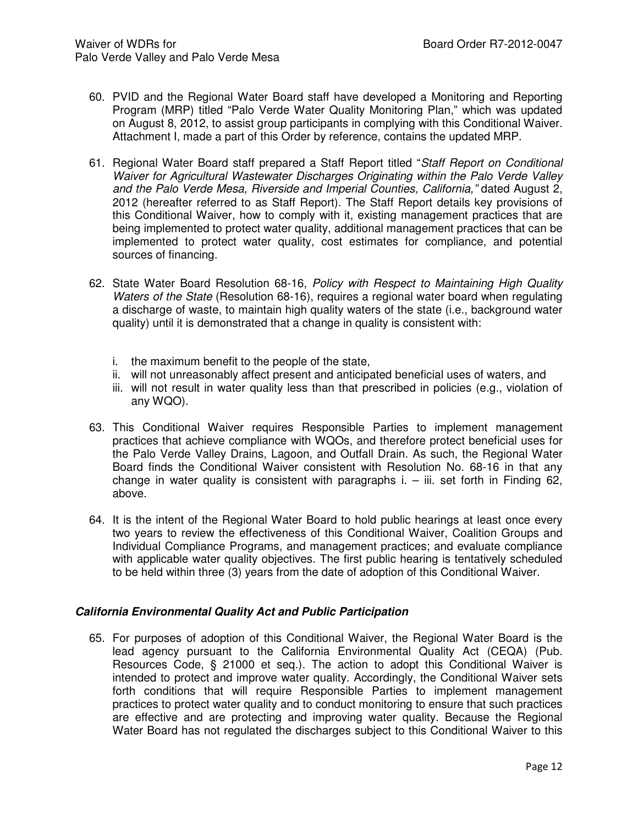- 60. PVID and the Regional Water Board staff have developed a Monitoring and Reporting Program (MRP) titled "Palo Verde Water Quality Monitoring Plan," which was updated on August 8, 2012, to assist group participants in complying with this Conditional Waiver. Attachment I, made a part of this Order by reference, contains the updated MRP.
- 61. Regional Water Board staff prepared a Staff Report titled "Staff Report on Conditional Waiver for Agricultural Wastewater Discharges Originating within the Palo Verde Valley and the Palo Verde Mesa, Riverside and Imperial Counties, California," dated August 2, 2012 (hereafter referred to as Staff Report). The Staff Report details key provisions of this Conditional Waiver, how to comply with it, existing management practices that are being implemented to protect water quality, additional management practices that can be implemented to protect water quality, cost estimates for compliance, and potential sources of financing.
- 62. State Water Board Resolution 68-16, Policy with Respect to Maintaining High Quality Waters of the State (Resolution 68-16), requires a regional water board when regulating a discharge of waste, to maintain high quality waters of the state (i.e., background water quality) until it is demonstrated that a change in quality is consistent with:
	- i. the maximum benefit to the people of the state,
	- ii. will not unreasonably affect present and anticipated beneficial uses of waters, and
	- iii. will not result in water quality less than that prescribed in policies (e.g., violation of any WQO).
- 63. This Conditional Waiver requires Responsible Parties to implement management practices that achieve compliance with WQOs, and therefore protect beneficial uses for the Palo Verde Valley Drains, Lagoon, and Outfall Drain. As such, the Regional Water Board finds the Conditional Waiver consistent with Resolution No. 68-16 in that any change in water quality is consistent with paragraphs  $i. - ii$ . set forth in Finding 62, above.
- 64. It is the intent of the Regional Water Board to hold public hearings at least once every two years to review the effectiveness of this Conditional Waiver, Coalition Groups and Individual Compliance Programs, and management practices; and evaluate compliance with applicable water quality objectives. The first public hearing is tentatively scheduled to be held within three (3) years from the date of adoption of this Conditional Waiver.

## **California Environmental Quality Act and Public Participation**

65. For purposes of adoption of this Conditional Waiver, the Regional Water Board is the lead agency pursuant to the California Environmental Quality Act (CEQA) (Pub. Resources Code, § 21000 et seq.). The action to adopt this Conditional Waiver is intended to protect and improve water quality. Accordingly, the Conditional Waiver sets forth conditions that will require Responsible Parties to implement management practices to protect water quality and to conduct monitoring to ensure that such practices are effective and are protecting and improving water quality. Because the Regional Water Board has not regulated the discharges subject to this Conditional Waiver to this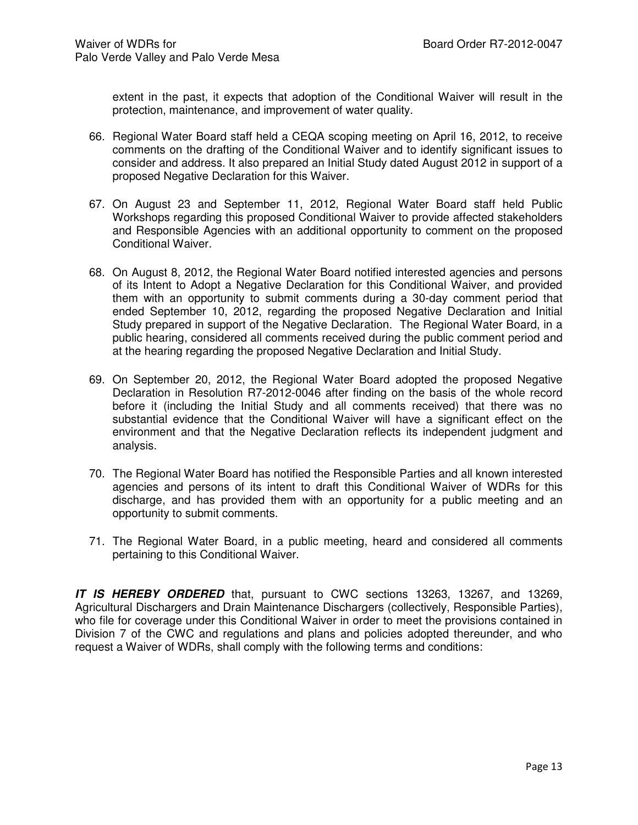extent in the past, it expects that adoption of the Conditional Waiver will result in the protection, maintenance, and improvement of water quality.

- 66. Regional Water Board staff held a CEQA scoping meeting on April 16, 2012, to receive comments on the drafting of the Conditional Waiver and to identify significant issues to consider and address. It also prepared an Initial Study dated August 2012 in support of a proposed Negative Declaration for this Waiver.
- 67. On August 23 and September 11, 2012, Regional Water Board staff held Public Workshops regarding this proposed Conditional Waiver to provide affected stakeholders and Responsible Agencies with an additional opportunity to comment on the proposed Conditional Waiver.
- 68. On August 8, 2012, the Regional Water Board notified interested agencies and persons of its Intent to Adopt a Negative Declaration for this Conditional Waiver, and provided them with an opportunity to submit comments during a 30-day comment period that ended September 10, 2012, regarding the proposed Negative Declaration and Initial Study prepared in support of the Negative Declaration. The Regional Water Board, in a public hearing, considered all comments received during the public comment period and at the hearing regarding the proposed Negative Declaration and Initial Study.
- 69. On September 20, 2012, the Regional Water Board adopted the proposed Negative Declaration in Resolution R7-2012-0046 after finding on the basis of the whole record before it (including the Initial Study and all comments received) that there was no substantial evidence that the Conditional Waiver will have a significant effect on the environment and that the Negative Declaration reflects its independent judgment and analysis.
- 70. The Regional Water Board has notified the Responsible Parties and all known interested agencies and persons of its intent to draft this Conditional Waiver of WDRs for this discharge, and has provided them with an opportunity for a public meeting and an opportunity to submit comments.
- 71. The Regional Water Board, in a public meeting, heard and considered all comments pertaining to this Conditional Waiver.

**IT IS HEREBY ORDERED** that, pursuant to CWC sections 13263, 13267, and 13269, Agricultural Dischargers and Drain Maintenance Dischargers (collectively, Responsible Parties), who file for coverage under this Conditional Waiver in order to meet the provisions contained in Division 7 of the CWC and regulations and plans and policies adopted thereunder, and who request a Waiver of WDRs, shall comply with the following terms and conditions: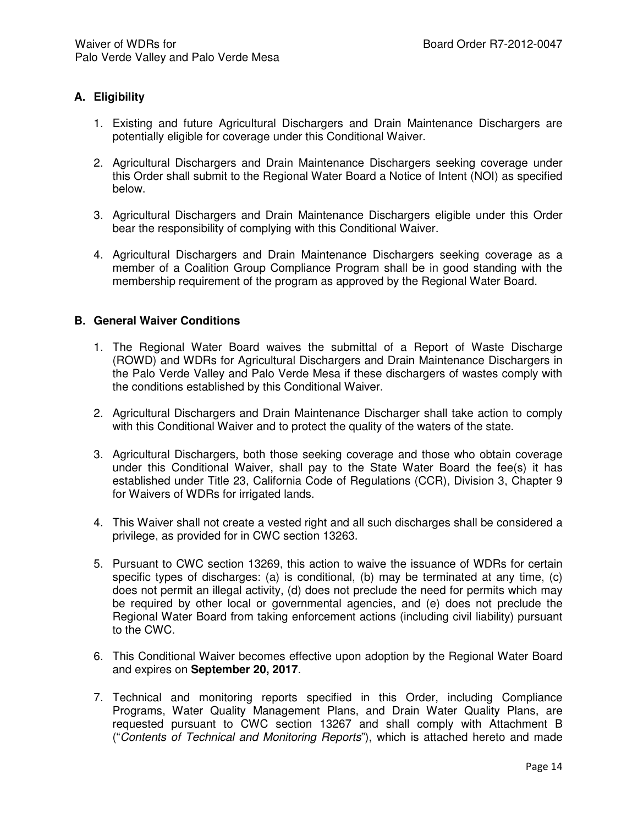## **A. Eligibility**

- 1. Existing and future Agricultural Dischargers and Drain Maintenance Dischargers are potentially eligible for coverage under this Conditional Waiver.
- 2. Agricultural Dischargers and Drain Maintenance Dischargers seeking coverage under this Order shall submit to the Regional Water Board a Notice of Intent (NOI) as specified below.
- 3. Agricultural Dischargers and Drain Maintenance Dischargers eligible under this Order bear the responsibility of complying with this Conditional Waiver.
- 4. Agricultural Dischargers and Drain Maintenance Dischargers seeking coverage as a member of a Coalition Group Compliance Program shall be in good standing with the membership requirement of the program as approved by the Regional Water Board.

#### **B. General Waiver Conditions**

- 1. The Regional Water Board waives the submittal of a Report of Waste Discharge (ROWD) and WDRs for Agricultural Dischargers and Drain Maintenance Dischargers in the Palo Verde Valley and Palo Verde Mesa if these dischargers of wastes comply with the conditions established by this Conditional Waiver.
- 2. Agricultural Dischargers and Drain Maintenance Discharger shall take action to comply with this Conditional Waiver and to protect the quality of the waters of the state.
- 3. Agricultural Dischargers, both those seeking coverage and those who obtain coverage under this Conditional Waiver, shall pay to the State Water Board the fee(s) it has established under Title 23, California Code of Regulations (CCR), Division 3, Chapter 9 for Waivers of WDRs for irrigated lands.
- 4. This Waiver shall not create a vested right and all such discharges shall be considered a privilege, as provided for in CWC section 13263.
- 5. Pursuant to CWC section 13269, this action to waive the issuance of WDRs for certain specific types of discharges: (a) is conditional, (b) may be terminated at any time, (c) does not permit an illegal activity, (d) does not preclude the need for permits which may be required by other local or governmental agencies, and (e) does not preclude the Regional Water Board from taking enforcement actions (including civil liability) pursuant to the CWC.
- 6. This Conditional Waiver becomes effective upon adoption by the Regional Water Board and expires on **September 20, 2017**.
- 7. Technical and monitoring reports specified in this Order, including Compliance Programs, Water Quality Management Plans, and Drain Water Quality Plans, are requested pursuant to CWC section 13267 and shall comply with Attachment B ("Contents of Technical and Monitoring Reports"), which is attached hereto and made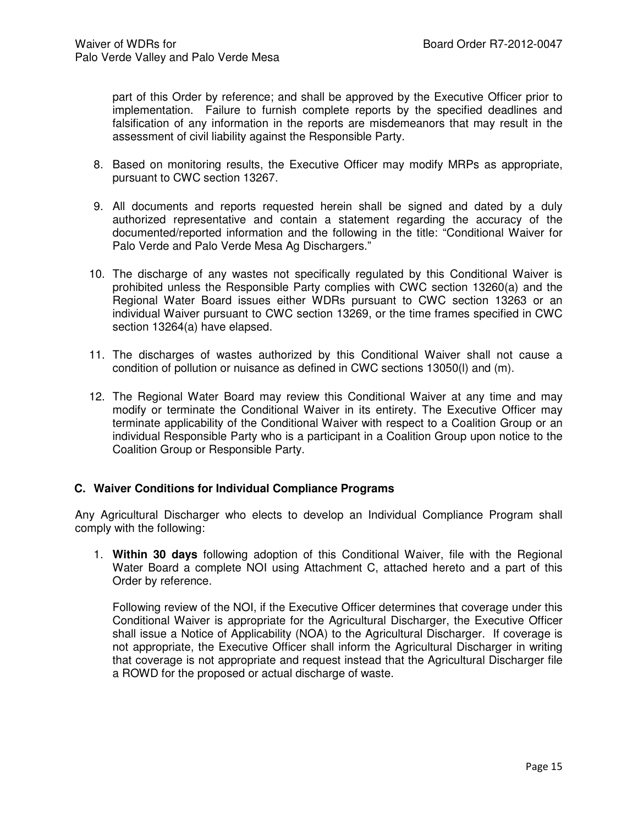part of this Order by reference; and shall be approved by the Executive Officer prior to implementation. Failure to furnish complete reports by the specified deadlines and falsification of any information in the reports are misdemeanors that may result in the assessment of civil liability against the Responsible Party.

- 8. Based on monitoring results, the Executive Officer may modify MRPs as appropriate, pursuant to CWC section 13267.
- 9. All documents and reports requested herein shall be signed and dated by a duly authorized representative and contain a statement regarding the accuracy of the documented/reported information and the following in the title: "Conditional Waiver for Palo Verde and Palo Verde Mesa Ag Dischargers."
- 10. The discharge of any wastes not specifically regulated by this Conditional Waiver is prohibited unless the Responsible Party complies with CWC section 13260(a) and the Regional Water Board issues either WDRs pursuant to CWC section 13263 or an individual Waiver pursuant to CWC section 13269, or the time frames specified in CWC section 13264(a) have elapsed.
- 11. The discharges of wastes authorized by this Conditional Waiver shall not cause a condition of pollution or nuisance as defined in CWC sections 13050(l) and (m).
- 12. The Regional Water Board may review this Conditional Waiver at any time and may modify or terminate the Conditional Waiver in its entirety. The Executive Officer may terminate applicability of the Conditional Waiver with respect to a Coalition Group or an individual Responsible Party who is a participant in a Coalition Group upon notice to the Coalition Group or Responsible Party.

## **C. Waiver Conditions for Individual Compliance Programs**

Any Agricultural Discharger who elects to develop an Individual Compliance Program shall comply with the following:

1. **Within 30 days** following adoption of this Conditional Waiver, file with the Regional Water Board a complete NOI using Attachment C, attached hereto and a part of this Order by reference.

Following review of the NOI, if the Executive Officer determines that coverage under this Conditional Waiver is appropriate for the Agricultural Discharger, the Executive Officer shall issue a Notice of Applicability (NOA) to the Agricultural Discharger. If coverage is not appropriate, the Executive Officer shall inform the Agricultural Discharger in writing that coverage is not appropriate and request instead that the Agricultural Discharger file a ROWD for the proposed or actual discharge of waste.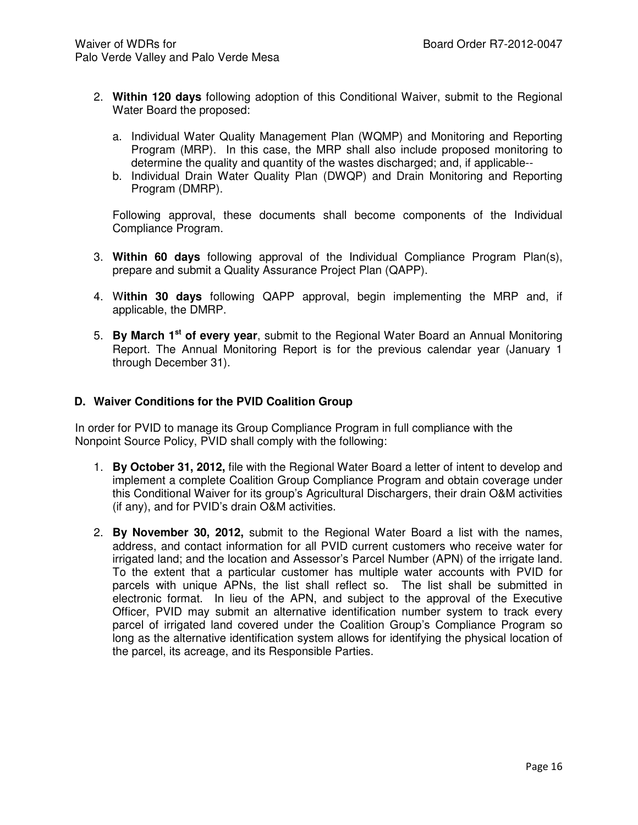- 2. **Within 120 days** following adoption of this Conditional Waiver, submit to the Regional Water Board the proposed:
	- a. Individual Water Quality Management Plan (WQMP) and Monitoring and Reporting Program (MRP). In this case, the MRP shall also include proposed monitoring to determine the quality and quantity of the wastes discharged; and, if applicable--
	- b. Individual Drain Water Quality Plan (DWQP) and Drain Monitoring and Reporting Program (DMRP).

Following approval, these documents shall become components of the Individual Compliance Program.

- 3. **Within 60 days** following approval of the Individual Compliance Program Plan(s), prepare and submit a Quality Assurance Project Plan (QAPP).
- 4. W**ithin 30 days** following QAPP approval, begin implementing the MRP and, if applicable, the DMRP.
- 5. **By March 1st of every year**, submit to the Regional Water Board an Annual Monitoring Report. The Annual Monitoring Report is for the previous calendar year (January 1 through December 31).

#### **D. Waiver Conditions for the PVID Coalition Group**

In order for PVID to manage its Group Compliance Program in full compliance with the Nonpoint Source Policy, PVID shall comply with the following:

- 1. **By October 31, 2012,** file with the Regional Water Board a letter of intent to develop and implement a complete Coalition Group Compliance Program and obtain coverage under this Conditional Waiver for its group's Agricultural Dischargers, their drain O&M activities (if any), and for PVID's drain O&M activities.
- 2. **By November 30, 2012,** submit to the Regional Water Board a list with the names, address, and contact information for all PVID current customers who receive water for irrigated land; and the location and Assessor's Parcel Number (APN) of the irrigate land. To the extent that a particular customer has multiple water accounts with PVID for parcels with unique APNs, the list shall reflect so. The list shall be submitted in electronic format. In lieu of the APN, and subject to the approval of the Executive Officer, PVID may submit an alternative identification number system to track every parcel of irrigated land covered under the Coalition Group's Compliance Program so long as the alternative identification system allows for identifying the physical location of the parcel, its acreage, and its Responsible Parties.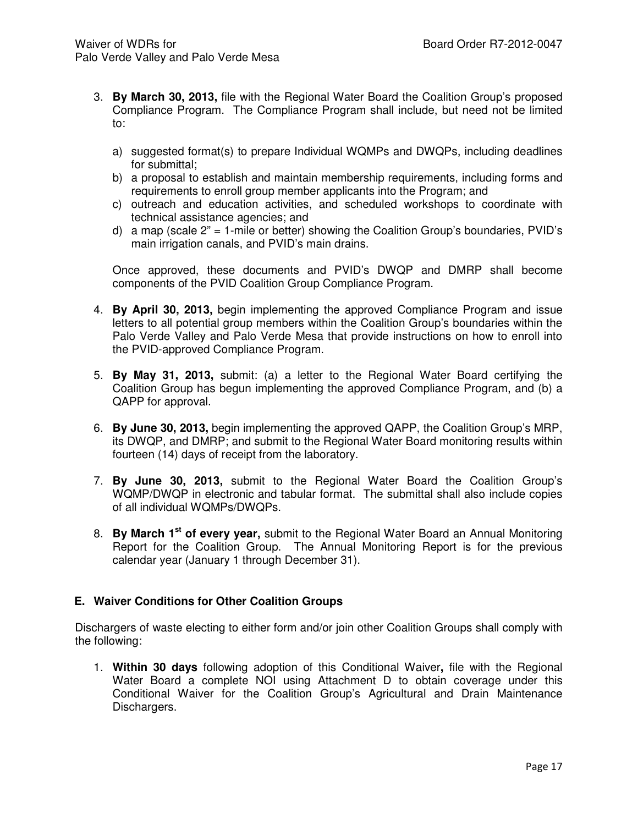- 3. **By March 30, 2013,** file with the Regional Water Board the Coalition Group's proposed Compliance Program. The Compliance Program shall include, but need not be limited to:
	- a) suggested format(s) to prepare Individual WQMPs and DWQPs, including deadlines for submittal;
	- b) a proposal to establish and maintain membership requirements, including forms and requirements to enroll group member applicants into the Program; and
	- c) outreach and education activities, and scheduled workshops to coordinate with technical assistance agencies; and
	- d) a map (scale 2" = 1-mile or better) showing the Coalition Group's boundaries, PVID's main irrigation canals, and PVID's main drains.

Once approved, these documents and PVID's DWQP and DMRP shall become components of the PVID Coalition Group Compliance Program.

- 4. **By April 30, 2013,** begin implementing the approved Compliance Program and issue letters to all potential group members within the Coalition Group's boundaries within the Palo Verde Valley and Palo Verde Mesa that provide instructions on how to enroll into the PVID-approved Compliance Program.
- 5. **By May 31, 2013,** submit: (a) a letter to the Regional Water Board certifying the Coalition Group has begun implementing the approved Compliance Program, and (b) a QAPP for approval.
- 6. **By June 30, 2013,** begin implementing the approved QAPP, the Coalition Group's MRP, its DWQP, and DMRP; and submit to the Regional Water Board monitoring results within fourteen (14) days of receipt from the laboratory.
- 7. **By June 30, 2013,** submit to the Regional Water Board the Coalition Group's WQMP/DWQP in electronic and tabular format. The submittal shall also include copies of all individual WQMPs/DWQPs.
- 8. **By March 1st of every year,** submit to the Regional Water Board an Annual Monitoring Report for the Coalition Group. The Annual Monitoring Report is for the previous calendar year (January 1 through December 31).

## **E. Waiver Conditions for Other Coalition Groups**

Dischargers of waste electing to either form and/or join other Coalition Groups shall comply with the following:

1. **Within 30 days** following adoption of this Conditional Waiver**,** file with the Regional Water Board a complete NOI using Attachment D to obtain coverage under this Conditional Waiver for the Coalition Group's Agricultural and Drain Maintenance Dischargers.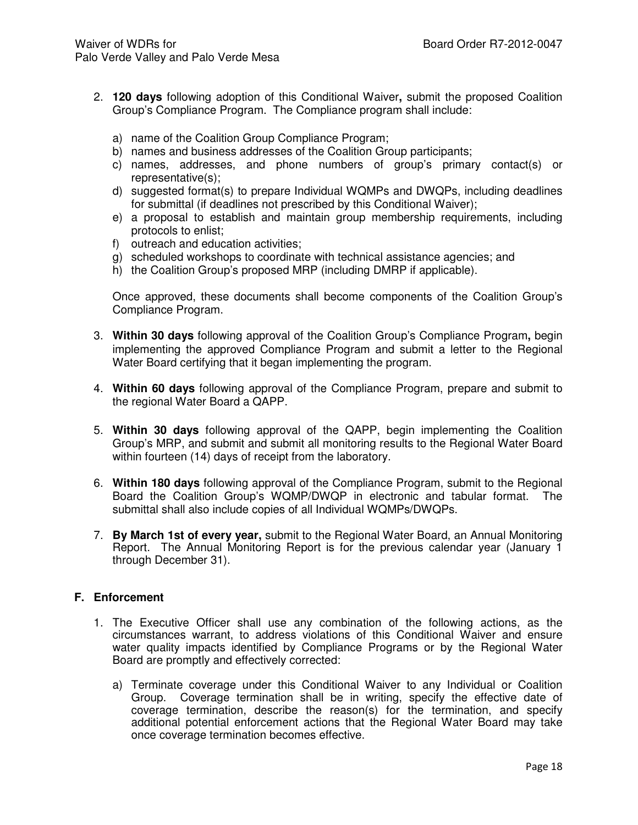- 2. **120 days** following adoption of this Conditional Waiver**,** submit the proposed Coalition Group's Compliance Program. The Compliance program shall include:
	- a) name of the Coalition Group Compliance Program;
	- b) names and business addresses of the Coalition Group participants;
	- c) names, addresses, and phone numbers of group's primary contact(s) or representative(s);
	- d) suggested format(s) to prepare Individual WQMPs and DWQPs, including deadlines for submittal (if deadlines not prescribed by this Conditional Waiver);
	- e) a proposal to establish and maintain group membership requirements, including protocols to enlist;
	- f) outreach and education activities;
	- g) scheduled workshops to coordinate with technical assistance agencies; and
	- h) the Coalition Group's proposed MRP (including DMRP if applicable).

Once approved, these documents shall become components of the Coalition Group's Compliance Program.

- 3. **Within 30 days** following approval of the Coalition Group's Compliance Program**,** begin implementing the approved Compliance Program and submit a letter to the Regional Water Board certifying that it began implementing the program.
- 4. **Within 60 days** following approval of the Compliance Program, prepare and submit to the regional Water Board a QAPP.
- 5. **Within 30 days** following approval of the QAPP, begin implementing the Coalition Group's MRP, and submit and submit all monitoring results to the Regional Water Board within fourteen (14) days of receipt from the laboratory.
- 6. **Within 180 days** following approval of the Compliance Program, submit to the Regional Board the Coalition Group's WQMP/DWQP in electronic and tabular format. The submittal shall also include copies of all Individual WQMPs/DWQPs.
- 7. **By March 1st of every year,** submit to the Regional Water Board, an Annual Monitoring Report. The Annual Monitoring Report is for the previous calendar year (January 1 through December 31).

#### **F. Enforcement**

- 1. The Executive Officer shall use any combination of the following actions, as the circumstances warrant, to address violations of this Conditional Waiver and ensure water quality impacts identified by Compliance Programs or by the Regional Water Board are promptly and effectively corrected:
	- a) Terminate coverage under this Conditional Waiver to any Individual or Coalition Group. Coverage termination shall be in writing, specify the effective date of coverage termination, describe the reason(s) for the termination, and specify additional potential enforcement actions that the Regional Water Board may take once coverage termination becomes effective.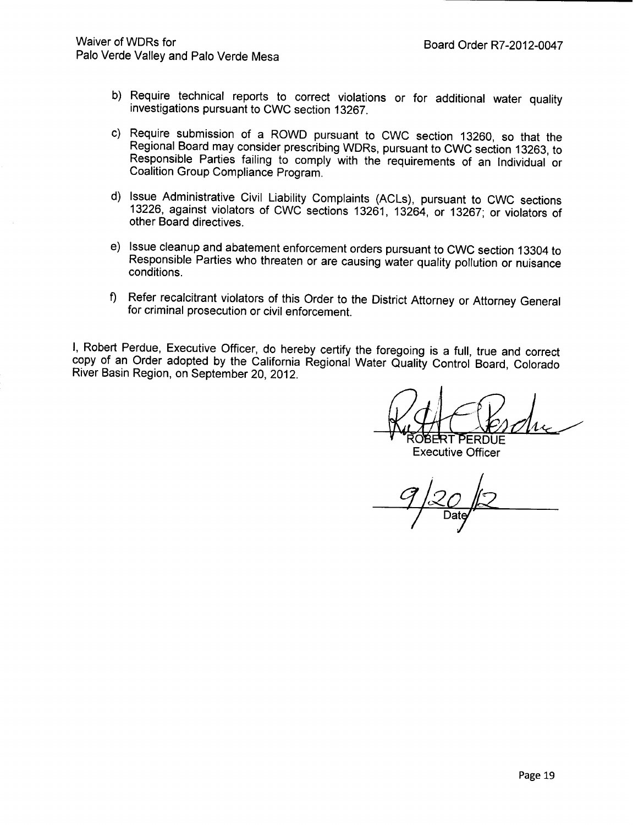- b) Require technical reports to correct violations or for additional water quality investigations pursuant to CWC section 13267.
- c) Require submission of a ROWD pursuant to CWC section 13260, so that the Regional Board may consider prescribing WDRs, pursuant to CWC section 13263, to Responsible Parties failing to comply with the requirements of an Individual or Coalition Group Compliance Program.
- d) Issue Administrative Civil Liability Complaints (ACLs), pursuant to CWC sections 13226, against violators of CWC sections 13261, 13264, or 13267; or violators of other Board directives.
- e) Issue cleanup and abatement enforcement orders pursuant to CWC section 13304 to Responsible Parties who threaten or are causing water quality pollution or nuisance conditions.
- f) Refer recalcitrant violators of this Order to the District Attorney or Attorney General for criminal prosecution or civil enforcement.

I, Robert Perdue, Executive Officer, do hereby certify the foregoing is a full, true and correct copy of an Order adopted by the California Regional Water Quality Control Board, Colorado River Basin Region, on September 20, 2012.

OBERT PERDUE **Executive Officer**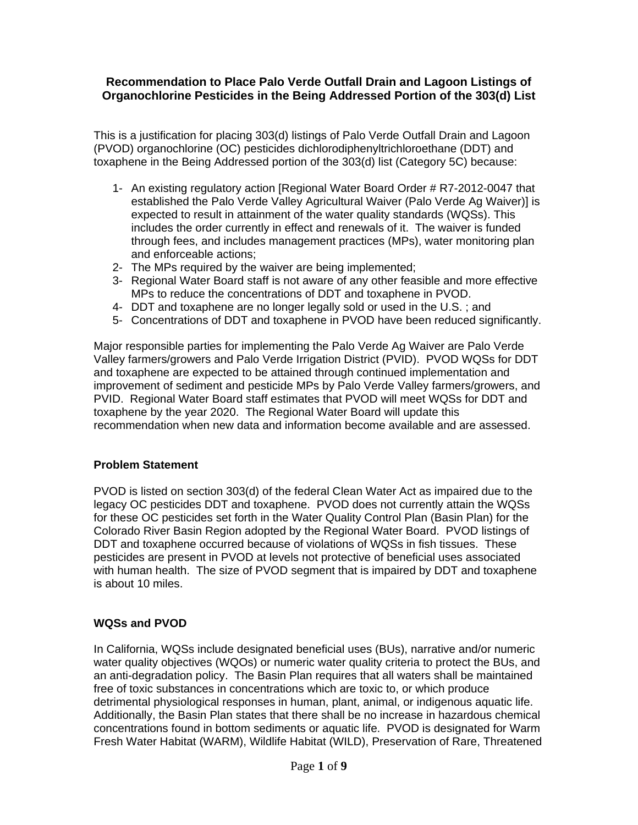## **Recommendation to Place Palo Verde Outfall Drain and Lagoon Listings of Organochlorine Pesticides in the Being Addressed Portion of the 303(d) List**

This is a justification for placing 303(d) listings of Palo Verde Outfall Drain and Lagoon (PVOD) organochlorine (OC) pesticides dichlorodiphenyltrichloroethane (DDT) and toxaphene in the Being Addressed portion of the 303(d) list (Category 5C) because:

- 1- An existing regulatory action [Regional Water Board Order # R7-2012-0047 that established the Palo Verde Valley Agricultural Waiver (Palo Verde Ag Waiver)] is expected to result in attainment of the water quality standards (WQSs). This includes the order currently in effect and renewals of it. The waiver is funded through fees, and includes management practices (MPs), water monitoring plan and enforceable actions;
- 2- The MPs required by the waiver are being implemented;
- 3- Regional Water Board staff is not aware of any other feasible and more effective MPs to reduce the concentrations of DDT and toxaphene in PVOD.
- 4- DDT and toxaphene are no longer legally sold or used in the U.S. ; and
- 5- Concentrations of DDT and toxaphene in PVOD have been reduced significantly.

Major responsible parties for implementing the Palo Verde Ag Waiver are Palo Verde Valley farmers/growers and Palo Verde Irrigation District (PVID). PVOD WQSs for DDT and toxaphene are expected to be attained through continued implementation and improvement of sediment and pesticide MPs by Palo Verde Valley farmers/growers, and PVID. Regional Water Board staff estimates that PVOD will meet WQSs for DDT and toxaphene by the year 2020. The Regional Water Board will update this recommendation when new data and information become available and are assessed.

## **Problem Statement**

PVOD is listed on section 303(d) of the federal Clean Water Act as impaired due to the legacy OC pesticides DDT and toxaphene. PVOD does not currently attain the WQSs for these OC pesticides set forth in the Water Quality Control Plan (Basin Plan) for the Colorado River Basin Region adopted by the Regional Water Board. PVOD listings of DDT and toxaphene occurred because of violations of WQSs in fish tissues. These pesticides are present in PVOD at levels not protective of beneficial uses associated with human health. The size of PVOD segment that is impaired by DDT and toxaphene is about 10 miles.

## **WQSs and PVOD**

In California, WQSs include designated beneficial uses (BUs), narrative and/or numeric water quality objectives (WQOs) or numeric water quality criteria to protect the BUs, and an anti-degradation policy. The Basin Plan requires that all waters shall be maintained free of toxic substances in concentrations which are toxic to, or which produce detrimental physiological responses in human, plant, animal, or indigenous aquatic life. Additionally, the Basin Plan states that there shall be no increase in hazardous chemical concentrations found in bottom sediments or aquatic life. PVOD is designated for Warm Fresh Water Habitat (WARM), Wildlife Habitat (WILD), Preservation of Rare, Threatened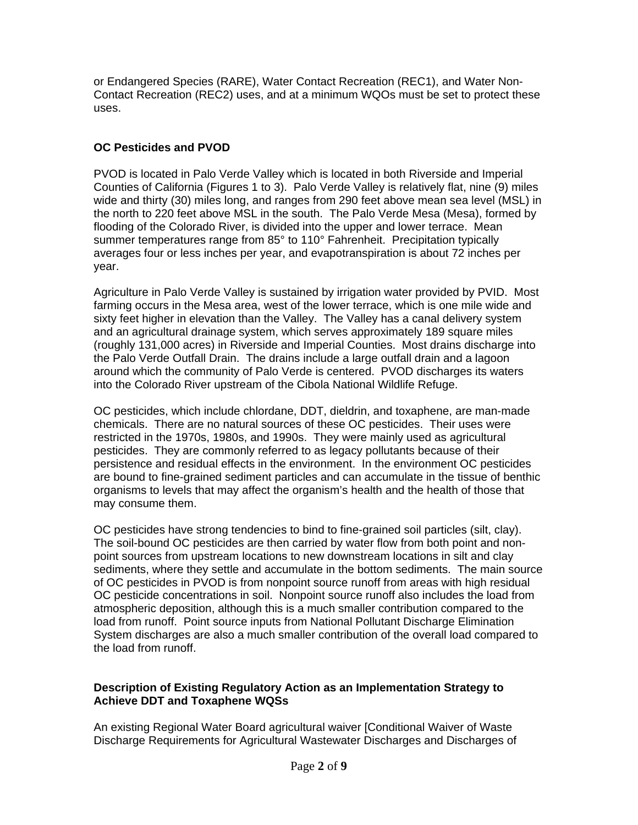or Endangered Species (RARE), Water Contact Recreation (REC1), and Water Non-Contact Recreation (REC2) uses, and at a minimum WQOs must be set to protect these uses.

# **OC Pesticides and PVOD**

PVOD is located in Palo Verde Valley which is located in both Riverside and Imperial Counties of California (Figures 1 to 3). Palo Verde Valley is relatively flat, nine (9) miles wide and thirty (30) miles long, and ranges from 290 feet above mean sea level (MSL) in the north to 220 feet above MSL in the south. The Palo Verde Mesa (Mesa), formed by flooding of the Colorado River, is divided into the upper and lower terrace. Mean summer temperatures range from 85° to 110° Fahrenheit. Precipitation typically averages four or less inches per year, and evapotranspiration is about 72 inches per year.

Agriculture in Palo Verde Valley is sustained by irrigation water provided by PVID. Most farming occurs in the Mesa area, west of the lower terrace, which is one mile wide and sixty feet higher in elevation than the Valley. The Valley has a canal delivery system and an agricultural drainage system, which serves approximately 189 square miles (roughly 131,000 acres) in Riverside and Imperial Counties. Most drains discharge into the Palo Verde Outfall Drain. The drains include a large outfall drain and a lagoon around which the community of Palo Verde is centered. PVOD discharges its waters into the Colorado River upstream of the Cibola National Wildlife Refuge.

OC pesticides, which include chlordane, DDT, dieldrin, and toxaphene, are man-made chemicals. There are no natural sources of these OC pesticides. Their uses were restricted in the 1970s, 1980s, and 1990s. They were mainly used as agricultural pesticides. They are commonly referred to as legacy pollutants because of their persistence and residual effects in the environment. In the environment OC pesticides are bound to fine-grained sediment particles and can accumulate in the tissue of benthic organisms to levels that may affect the organism's health and the health of those that may consume them.

OC pesticides have strong tendencies to bind to fine-grained soil particles (silt, clay). The soil-bound OC pesticides are then carried by water flow from both point and nonpoint sources from upstream locations to new downstream locations in silt and clay sediments, where they settle and accumulate in the bottom sediments. The main source of OC pesticides in PVOD is from nonpoint source runoff from areas with high residual OC pesticide concentrations in soil. Nonpoint source runoff also includes the load from atmospheric deposition, although this is a much smaller contribution compared to the load from runoff. Point source inputs from National Pollutant Discharge Elimination System discharges are also a much smaller contribution of the overall load compared to the load from runoff.

## **Description of Existing Regulatory Action as an Implementation Strategy to Achieve DDT and Toxaphene WQSs**

An existing Regional Water Board agricultural waiver [Conditional Waiver of Waste Discharge Requirements for Agricultural Wastewater Discharges and Discharges of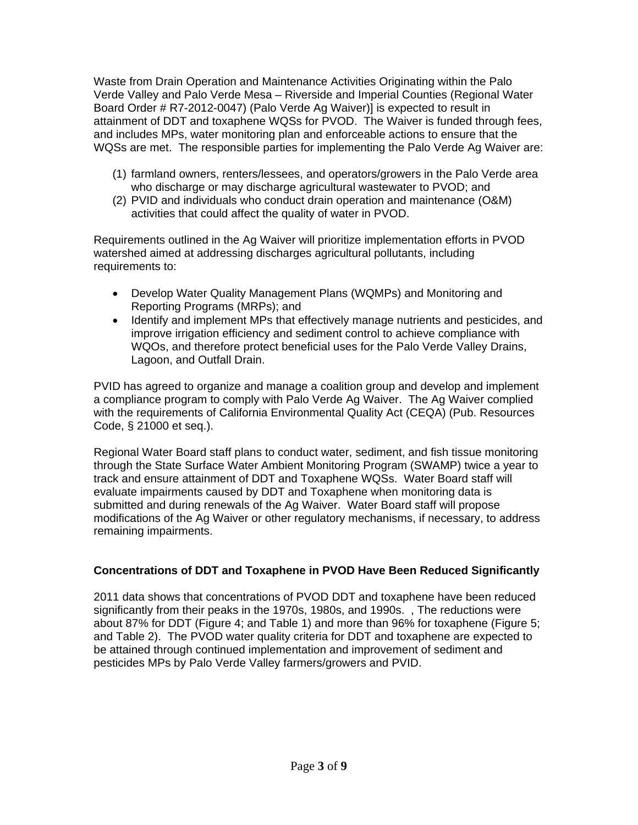Waste from Drain Operation and Maintenance Activities Originating within the Palo Verde Valley and Palo Verde Mesa – Riverside and Imperial Counties (Regional Water Board Order # R7-2012-0047) (Palo Verde Ag Waiver)] is expected to result in attainment of DDT and toxaphene WQSs for PVOD. The Waiver is funded through fees, and includes MPs, water monitoring plan and enforceable actions to ensure that the WQSs are met. The responsible parties for implementing the Palo Verde Ag Waiver are:

- (1) farmland owners, renters/lessees, and operators/growers in the Palo Verde area who discharge or may discharge agricultural wastewater to PVOD; and
- (2) PVID and individuals who conduct drain operation and maintenance (O&M) activities that could affect the quality of water in PVOD.

Requirements outlined in the Ag Waiver will prioritize implementation efforts in PVOD watershed aimed at addressing discharges agricultural pollutants, including requirements to:

- Develop Water Quality Management Plans (WQMPs) and Monitoring and Reporting Programs (MRPs); and
- Identify and implement MPs that effectively manage nutrients and pesticides, and improve irrigation efficiency and sediment control to achieve compliance with WQOs, and therefore protect beneficial uses for the Palo Verde Valley Drains, Lagoon, and Outfall Drain.

PVID has agreed to organize and manage a coalition group and develop and implement a compliance program to comply with Palo Verde Ag Waiver. The Ag Waiver complied with the requirements of California Environmental Quality Act (CEQA) (Pub. Resources Code, § 21000 et seq.).

Regional Water Board staff plans to conduct water, sediment, and fish tissue monitoring through the State Surface Water Ambient Monitoring Program (SWAMP) twice a year to track and ensure attainment of DDT and Toxaphene WQSs. Water Board staff will evaluate impairments caused by DDT and Toxaphene when monitoring data is submitted and during renewals of the Ag Waiver. Water Board staff will propose modifications of the Ag Waiver or other regulatory mechanisms, if necessary, to address remaining impairments.

# **Concentrations of DDT and Toxaphene in PVOD Have Been Reduced Significantly**

2011 data shows that concentrations of PVOD DDT and toxaphene have been reduced significantly from their peaks in the 1970s, 1980s, and 1990s. , The reductions were about 87% for DDT (Figure 4; and Table 1) and more than 96% for toxaphene (Figure 5; and Table 2). The PVOD water quality criteria for DDT and toxaphene are expected to be attained through continued implementation and improvement of sediment and pesticides MPs by Palo Verde Valley farmers/growers and PVID.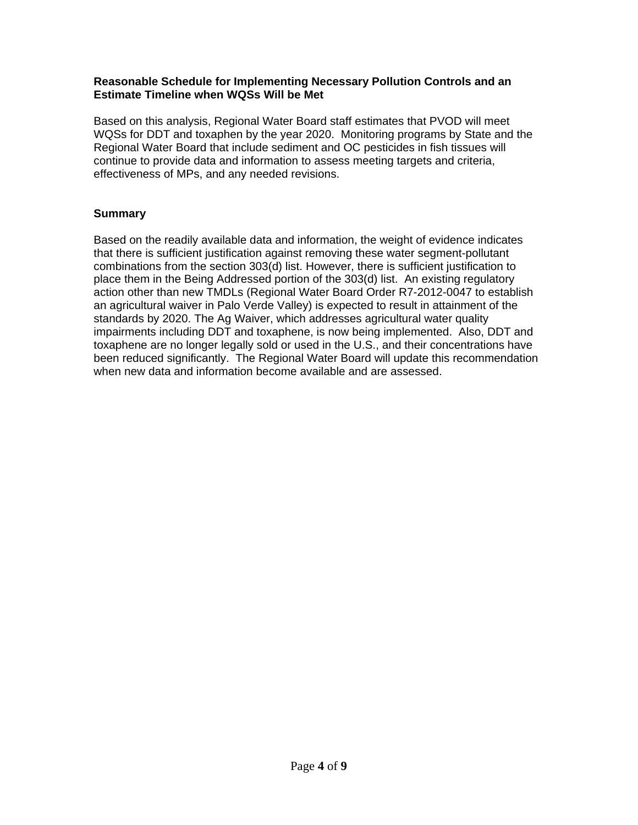## **Reasonable Schedule for Implementing Necessary Pollution Controls and an Estimate Timeline when WQSs Will be Met**

Based on this analysis, Regional Water Board staff estimates that PVOD will meet WQSs for DDT and toxaphen by the year 2020. Monitoring programs by State and the Regional Water Board that include sediment and OC pesticides in fish tissues will continue to provide data and information to assess meeting targets and criteria, effectiveness of MPs, and any needed revisions.

# **Summary**

Based on the readily available data and information, the weight of evidence indicates that there is sufficient justification against removing these water segment-pollutant combinations from the section 303(d) list. However, there is sufficient justification to place them in the Being Addressed portion of the 303(d) list. An existing regulatory action other than new TMDLs (Regional Water Board Order R7-2012-0047 to establish an agricultural waiver in Palo Verde Valley) is expected to result in attainment of the standards by 2020. The Ag Waiver, which addresses agricultural water quality impairments including DDT and toxaphene, is now being implemented. Also, DDT and toxaphene are no longer legally sold or used in the U.S., and their concentrations have been reduced significantly. The Regional Water Board will update this recommendation when new data and information become available and are assessed.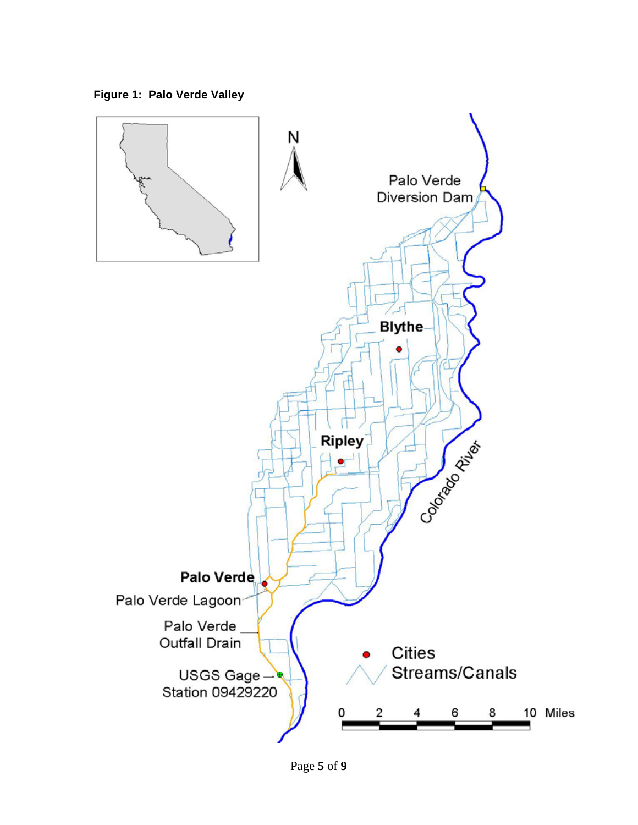**Figure 1: Palo Verde Valley** 



Page **5** of **9**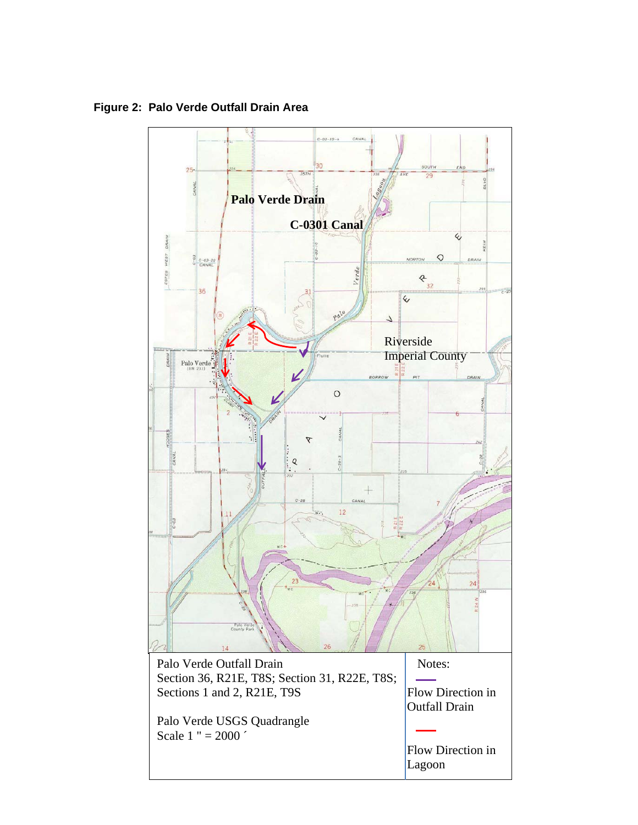**Palo Verde Drain C-0301 Canal**   $\epsilon$ WEST  $\Diamond$ **NORTON**  $\begin{array}{c|c}\n 3 & c-03-22 \\
& \text{CANAL}\n \end{array}$ ES  $8^{32}$ 36  $\overline{\mathsf{C}}$  $\sqrt{2}$ Riverside Imperial County Palo Verde  $\circ$  $\cal Q$  $\bot$  $12$ œ. Palo Verde Outfall Drain Notes: Section 36, R21E, T8S; Section 31, R22E, T8S;  $\sim$ Sections 1 and 2, R21E, T9S Flow Direction in Outfall Drain Palo Verde USGS Quadrangle Scale 1 " =  $2000'$  Flow Direction in Lagoon

**Figure 2: Palo Verde Outfall Drain Area**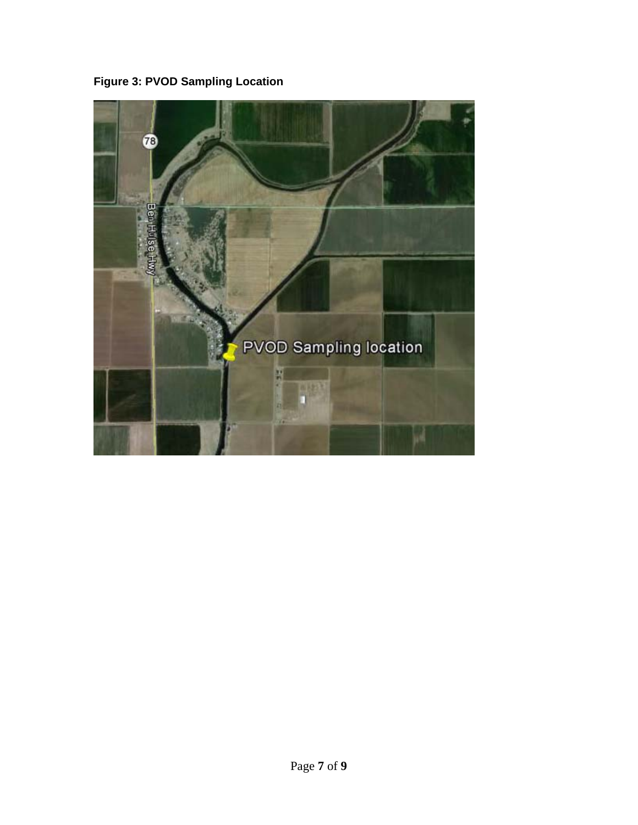**Figure 3: PVOD Sampling Location** 

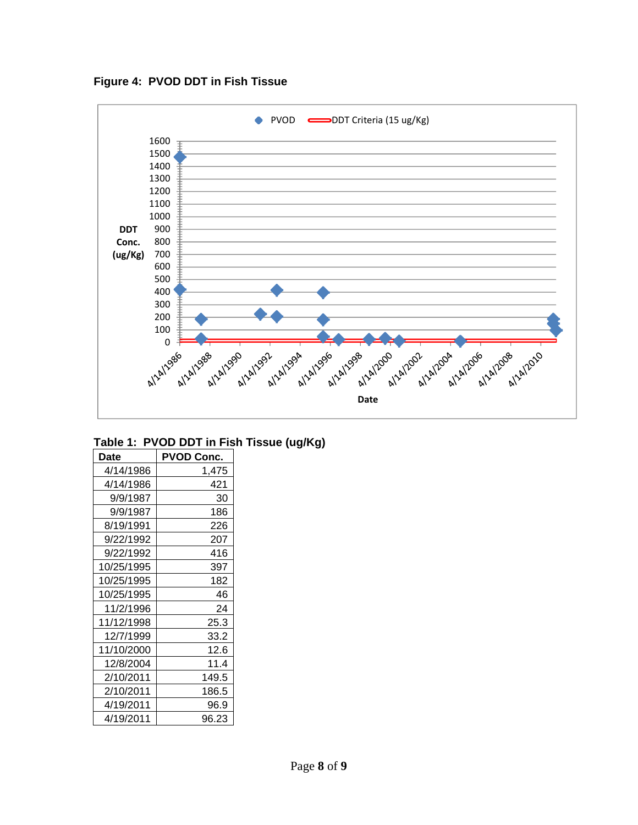**Figure 4: PVOD DDT in Fish Tissue**



## **Table 1: PVOD DDT in Fish Tissue (ug/Kg)**

| Date       | <b>PVOD Conc.</b> |
|------------|-------------------|
| 4/14/1986  | 1,475             |
| 4/14/1986  | 421               |
| 9/9/1987   | 30                |
| 9/9/1987   | 186               |
| 8/19/1991  | 226               |
| 9/22/1992  | 207               |
| 9/22/1992  | 416               |
| 10/25/1995 | 397               |
| 10/25/1995 | 182               |
| 10/25/1995 | 46                |
| 11/2/1996  | 24                |
| 11/12/1998 | 25.3              |
| 12/7/1999  | 33.2              |
| 11/10/2000 | 12.6              |
| 12/8/2004  | 11.4              |
| 2/10/2011  | 149.5             |
| 2/10/2011  | 186.5             |
| 4/19/2011  | 96.9              |
| 4/19/2011  | 96.23             |